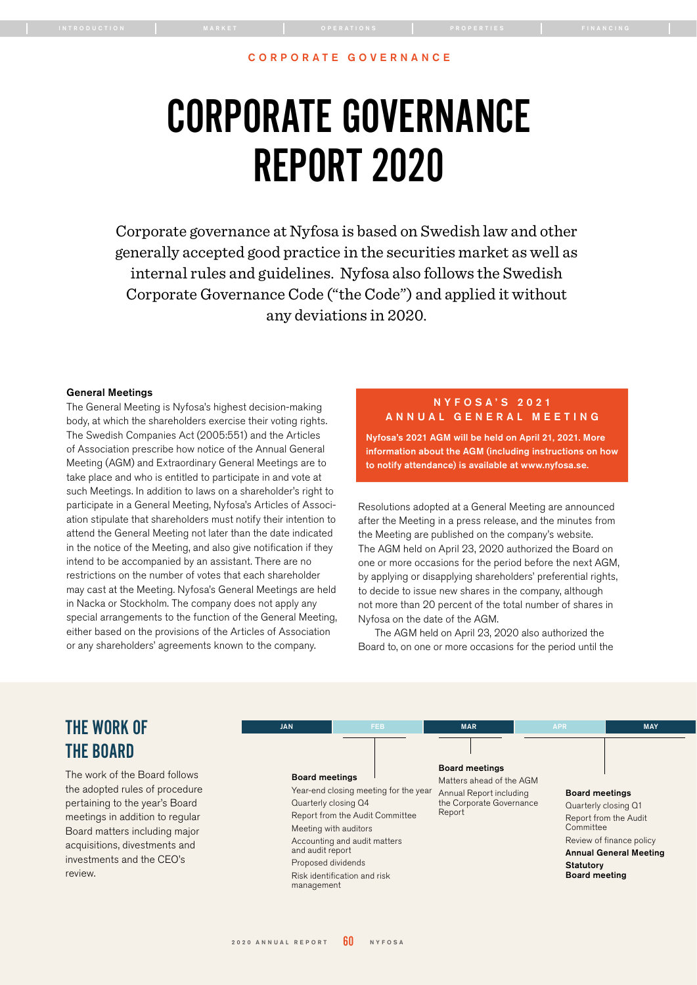# <span id="page-0-0"></span>CORPORATE GOVERNANCE REPORT 2020

Corporate governance at Nyfosa is based on Swedish law and other generally accepted good practice in the securities market as well as internal rules and guidelines. Nyfosa also follows the Swedish Corporate Governance Code ("the Code") and applied it without any deviations in 2020.

#### General Meetings

The General Meeting is Nyfosa's highest decision-making body, at which the shareholders exercise their voting rights. The Swedish Companies Act (2005:551) and the Articles of Association prescribe how notice of the Annual General Meeting (AGM) and Extraordinary General Meetings are to take place and who is entitled to participate in and vote at such Meetings. In addition to laws on a shareholder's right to participate in a General Meeting, Nyfosa's Articles of Association stipulate that shareholders must notify their intention to attend the General Meeting not later than the date indicated in the notice of the Meeting, and also give notification if they intend to be accompanied by an assistant. There are no restrictions on the number of votes that each shareholder may cast at the Meeting. Nyfosa's General Meetings are held in Nacka or Stockholm. The company does not apply any special arrangements to the function of the General Meeting, either based on the provisions of the Articles of Association or any shareholders' agreements known to the company.

# N Y F O S A ' S 2 0 2 1 ANNUAL GENERAL MEETING

Nyfosa's 2021 AGM will be held on April 21, 2021. More information about the AGM (including instructions on how to notify attendance) is available at www.nyfosa.se.

Resolutions adopted at a General Meeting are announced after the Meeting in a press release, and the minutes from the Meeting are published on the company's website. The AGM held on April 23, 2020 authorized the Board on one or more occasions for the period before the next AGM, by applying or disapplying shareholders' preferential rights, to decide to issue new shares in the company, although not more than 20 percent of the total number of shares in Nyfosa on the date of the AGM.

The AGM held on April 23, 2020 also authorized the Board to, on one or more occasions for the period until the

# THE WORK OF THE BOARD

The work of the Board follows the adopted rules of procedure pertaining to the year's Board meetings in addition to regular Board matters including major acquisitions, divestments and investments and the CEO's review.

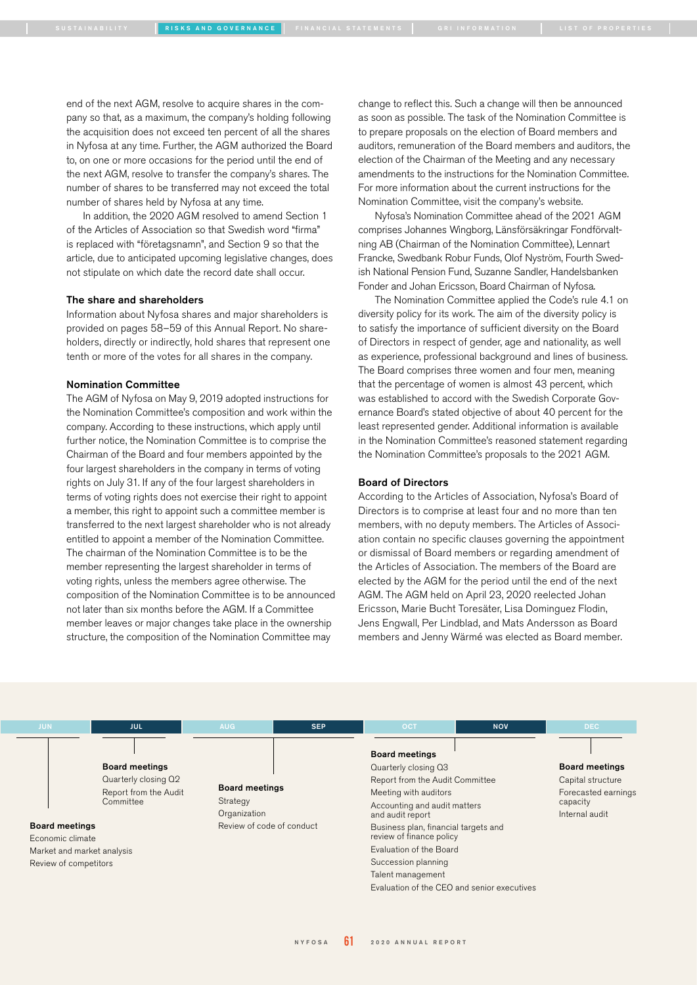[SUSTAINABILITY](#page-0-0) [RISKS AND GOVERNANCE](#page-0-0) [FINANCIAL STATEMENTS](#page-0-0) [GRI INFORMATION](#page-0-0) [LIST OF PROPERTIES](#page-0-0)

end of the next AGM, resolve to acquire shares in the company so that, as a maximum, the company's holding following the acquisition does not exceed ten percent of all the shares in Nyfosa at any time. Further, the AGM authorized the Board to, on one or more occasions for the period until the end of the next AGM, resolve to transfer the company's shares. The number of shares to be transferred may not exceed the total number of shares held by Nyfosa at any time.

In addition, the 2020 AGM resolved to amend Section 1 of the Articles of Association so that Swedish word "firma" is replaced with "företagsnamn", and Section 9 so that the article, due to anticipated upcoming legislative changes, does not stipulate on which date the record date shall occur.

# The share and shareholders

Information about Nyfosa shares and major shareholders is provided on pages 58–59 of this Annual Report. No shareholders, directly or indirectly, hold shares that represent one tenth or more of the votes for all shares in the company.

### Nomination Committee

The AGM of Nyfosa on May 9, 2019 adopted instructions for the Nomination Committee's composition and work within the company. According to these instructions, which apply until further notice, the Nomination Committee is to comprise the Chairman of the Board and four members appointed by the four largest shareholders in the company in terms of voting rights on July 31. If any of the four largest shareholders in terms of voting rights does not exercise their right to appoint a member, this right to appoint such a committee member is transferred to the next largest shareholder who is not already entitled to appoint a member of the Nomination Committee. The chairman of the Nomination Committee is to be the member representing the largest shareholder in terms of voting rights, unless the members agree otherwise. The composition of the Nomination Committee is to be announced not later than six months before the AGM. If a Committee member leaves or major changes take place in the ownership structure, the composition of the Nomination Committee may

change to reflect this. Such a change will then be announced as soon as possible. The task of the Nomination Committee is to prepare proposals on the election of Board members and auditors, remuneration of the Board members and auditors, the election of the Chairman of the Meeting and any necessary amendments to the instructions for the Nomination Committee. For more information about the current instructions for the Nomination Committee, visit the company's website.

Nyfosa's Nomination Committee ahead of the 2021 AGM comprises Johannes Wingborg, Länsförsäkringar Fondförvaltning AB (Chairman of the Nomination Committee), Lennart Francke, Swedbank Robur Funds, Olof Nyström, Fourth Swedish National Pension Fund, Suzanne Sandler, Handelsbanken Fonder and Johan Ericsson, Board Chairman of Nyfosa.

The Nomination Committee applied the Code's rule 4.1 on diversity policy for its work. The aim of the diversity policy is to satisfy the importance of sufficient diversity on the Board of Directors in respect of gender, age and nationality, as well as experience, professional background and lines of business. The Board comprises three women and four men, meaning that the percentage of women is almost 43 percent, which was established to accord with the Swedish Corporate Governance Board's stated objective of about 40 percent for the least represented gender. Additional information is available in the Nomination Committee's reasoned statement regarding the Nomination Committee's proposals to the 2021 AGM.

#### Board of Directors

According to the Articles of Association, Nyfosa's Board of Directors is to comprise at least four and no more than ten members, with no deputy members. The Articles of Association contain no specific clauses governing the appointment or dismissal of Board members or regarding amendment of the Articles of Association. The members of the Board are elected by the AGM for the period until the end of the next AGM. The AGM held on April 23, 2020 reelected Johan Ericsson, Marie Bucht Toresäter, Lisa Dominguez Flodin, Jens Engwall, Per Lindblad, and Mats Andersson as Board members and Jenny Wärmé was elected as Board member.

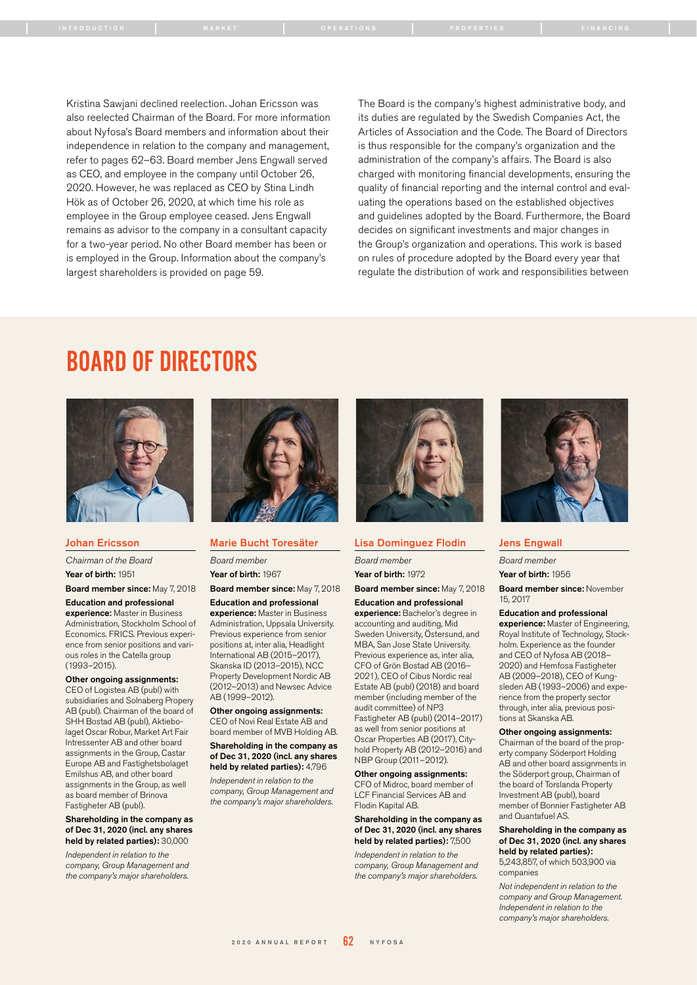Kristina Sawjani declined reelection. Johan Ericsson was also reelected Chairman of the Board. For more information about Nyfosa's Board members and information about their independence in relation to the company and management, refer to pages 62–63. Board member Jens Engwall served as CEO, and employee in the company until October 26, 2020. However, he was replaced as CEO by Stina Lindh Hök as of October 26, 2020, at which time his role as employee in the Group employee ceased. Jens Engwall remains as advisor to the company in a consultant capacity for a two-year period. No other Board member has been or is employed in the Group. Information about the company's largest shareholders is provided on page 59.

The Board is the company's highest administrative body, and its duties are regulated by the Swedish Companies Act, the Articles of Association and the Code. The Board of Directors is thus responsible for the company's organization and the administration of the company's affairs. The Board is also charged with monitoring financial developments, ensuring the quality of financial reporting and the internal control and evaluating the operations based on the established objectives and guidelines adopted by the Board. Furthermore, the Board decides on significant investments and major changes in the Group's organization and operations. This work is based on rules of procedure adopted by the Board every year that regulate the distribution of work and responsibilities between

# BOARD OF DIRECTORS



## Johan Ericsson

*Chairman of the Board*  Year of birth: 1951

Board member since: May 7, 2018

Education and professional experience: Master in Business Administration, Stockholm School of Economics. FRICS. Previous experience from senior positions and various roles in the Catella group (1993–2015).

Other ongoing assignments: CEO of Logistea AB (publ) with subsidiaries and Solnaberg Propery AB (publ). Chairman of the board of SHH Bostad AB (publ), Aktiebolaget Oscar Robur, Market Art Fair Intressenter AB and other board assignments in the Group, Castar Europe AB and Fastighetsbolaget Emilshus AB, and other board assignments in the Group, as well as board member of Brinova Fastigheter AB (publ).

#### Shareholding in the company as of Dec 31, 2020 (incl. any shares held by related parties): 30,000

*Independent in relation to the company, Group Management and the company's major shareholders.*



#### Marie Bucht Toresäter

*Board member* Year of birth: 1967

Board member since: May 7, 2018

#### Education and professional experience: Master in Business

Administration, Uppsala University. Previous experience from senior positions at, inter alia, Headlight International AB (2015–2017), Skanska ID (2013–2015), NCC Property Development Nordic AB (2012–2013) and Newsec Advice AB (1999–2012).

Other ongoing assignments: CEO of Novi Real Estate AB and board member of MVB Holding AB.

#### Shareholding in the company as of Dec 31, 2020 (incl. any shares held by related parties): 4,796

*Independent in relation to the company, Group Management and the company's major shareholders.*



#### Lisa Dominguez Flodin

*Board member*

Year of birth: 1972

#### Board member since: May 7, 2018 Education and professional

experience: Bachelor's degree in accounting and auditing, Mid Sweden University, Östersund, and MBA, San Jose State University. Previous experience as, inter alia, CFO of Grön Bostad AB (2016– 2021), CEO of Cibus Nordic real Estate AB (publ) (2018) and board member (including member of the audit committee) of NP3 Fastigheter AB (publ) (2014–2017) as well from senior positions at Oscar Properties AB (2017), Cityhold Property AB (2012–2016) and NBP Group (2011–2012).

# Other ongoing assignments:

CFO of Midroc, board member of LCF Financial Services AB and Flodin Kapital AB.

#### Shareholding in the company as of Dec 31, 2020 (incl. any shares held by related parties): 7,500

*Independent in relation to the company, Group Management and the company's major shareholders.*



#### Jens Engwall

*Board member*

Year of birth: 1956

#### Board member since: November 15, 2017

#### Education and professional

experience: Master of Engineering, Royal Institute of Technology, Stockholm. Experience as the founder and CEO of Nyfosa AB (2018– 2020) and Hemfosa Fastigheter AB (2009–2018), CEO of Kungsleden AB (1993–2006) and experience from the property sector through, inter alia, previous positions at Skanska AB.

Other ongoing assignments: Chairman of the board of the property company Söderport Holding AB and other board assignments in the Söderport group, Chairman of the board of Torslanda Property Investment AB (publ), board member of Bonnier Fastigheter AB and Quantafuel AS.

#### Shareholding in the company as of Dec 31, 2020 (incl. any shares held by related parties):

5,243,857, of which 503,900 via companies

*Not independent in relation to the company and Group Management. Independent in relation to the company's major shareholders.*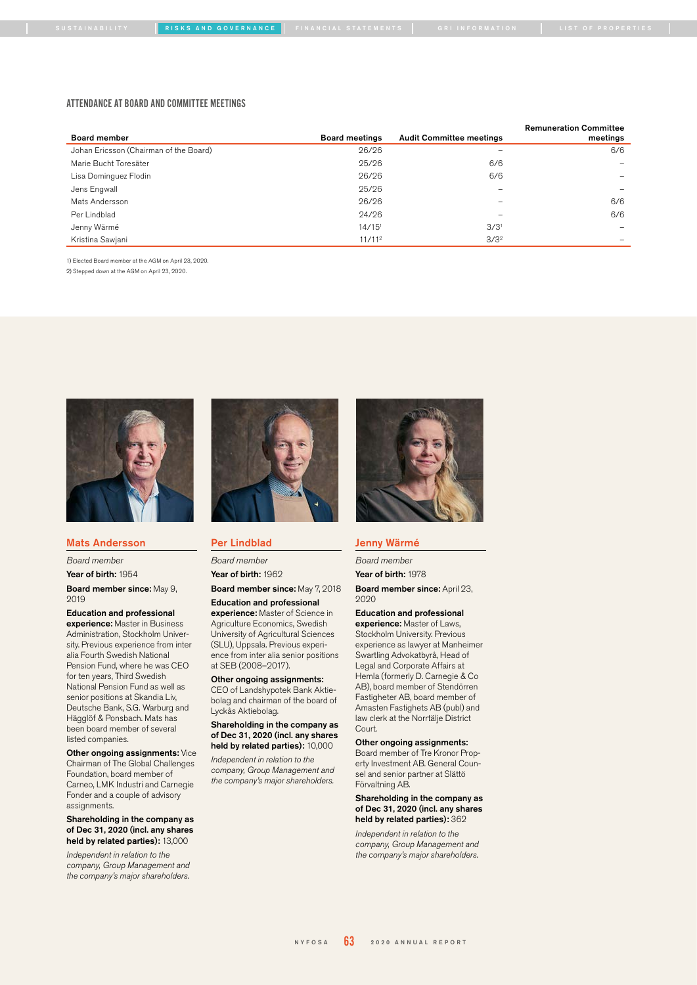[SUSTAINABILITY](#page-0-0) [RISKS AND GOVERNANCE](#page-0-0) [FINANCIAL STATEMENTS](#page-0-0) [GRI INFORMATION](#page-0-0) I [LIST OF PROPERTIES](#page-0-0) |

#### ATTENDANCE AT BOARD AND COMMITTEE MEETINGS

|                                        |                       |                                 | <b>Remuneration Committee</b> |
|----------------------------------------|-----------------------|---------------------------------|-------------------------------|
| <b>Board member</b>                    | <b>Board meetings</b> | <b>Audit Committee meetings</b> | meetings                      |
| Johan Ericsson (Chairman of the Board) | 26/26                 | -                               | 6/6                           |
| Marie Bucht Toresäter                  | 25/26                 | 6/6                             |                               |
| Lisa Dominguez Flodin                  | 26/26                 | 6/6                             | -                             |
| Jens Engwall                           | 25/26                 |                                 | $\overline{\phantom{0}}$      |
| Mats Andersson                         | 26/26                 |                                 | 6/6                           |
| Per Lindblad                           | 24/26                 |                                 | 6/6                           |
| Jenny Wärmé                            | $14/15$ <sup>1</sup>  | 3/3 <sup>1</sup>                | -                             |
| Kristina Sawjani                       | 11/11 <sup>2</sup>    | $3/3^2$                         |                               |

1) Elected Board member at the AGM on April 23, 2020.

2) Stepped down at the AGM on April 23, 2020.



# Mats Andersson

*Board member*

Year of birth: 1954

Board member since: May 9, 2019

#### Education and professional

experience: Master in Business Administration, Stockholm University. Previous experience from inter alia Fourth Swedish National Pension Fund, where he was CEO for ten years, Third Swedish National Pension Fund as well as senior positions at Skandia Liv, Deutsche Bank, S.G. Warburg and Hägglöf & Ponsbach. Mats has been board member of several listed companies.

#### Other ongoing assignments: Vice

Chairman of The Global Challenges Foundation, board member of Carneo, LMK Industri and Carnegie Fonder and a couple of advisory assignments.

#### Shareholding in the company as of Dec 31, 2020 (incl. any shares held by related parties): 13,000

*Independent in relation to the company, Group Management and the company's major shareholders.*



## Per Lindblad

*Board member*

Year of birth: 1962

# Board member since: May 7, 2018

Education and professional experience: Master of Science in Agriculture Economics, Swedish University of Agricultural Sciences (SLU), Uppsala. Previous experience from inter alia senior positions

at SEB (2008–2017). Other ongoing assignments:

# CEO of Landshypotek Bank Aktie-

bolag and chairman of the board of Lyckås Aktiebolag.

#### Shareholding in the company as of Dec 31, 2020 (incl. any shares held by related parties): 10,000

*Independent in relation to the company, Group Management and the company's major shareholders.*



# Jenny Wärmé

*Board member*

Year of birth: 1978

Board member since: April 23, 2020

# Education and professional

experience: Master of Laws, Stockholm University. Previous experience as lawyer at Manheimer Swartling Advokatbyrå, Head of Legal and Corporate Affairs at Hemla (formerly D. Carnegie & Co AB), board member of Stendörren Fastigheter AB, board member of Amasten Fastighets AB (publ) and law clerk at the Norrtälje District Court.

#### Other ongoing assignments:

Board member of Tre Kronor Property Investment AB. General Counsel and senior partner at Slättö Förvaltning AB.

#### Shareholding in the company as of Dec 31, 2020 (incl. any shares held by related parties): 362

*Independent in relation to the company, Group Management and the company's major shareholders.*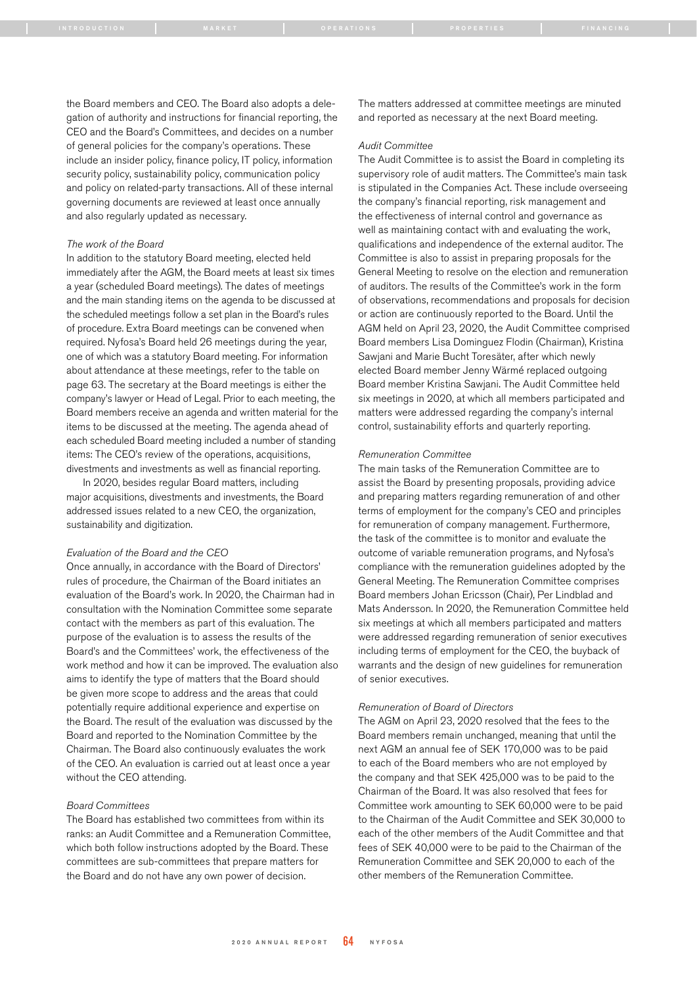the Board members and CEO. The Board also adopts a delegation of authority and instructions for financial reporting, the CEO and the Board's Committees, and decides on a number of general policies for the company's operations. These include an insider policy, finance policy, IT policy, information security policy, sustainability policy, communication policy and policy on related-party transactions. All of these internal governing documents are reviewed at least once annually and also regularly updated as necessary.

#### *The work of the Board*

In addition to the statutory Board meeting, elected held immediately after the AGM, the Board meets at least six times a year (scheduled Board meetings). The dates of meetings and the main standing items on the agenda to be discussed at the scheduled meetings follow a set plan in the Board's rules of procedure. Extra Board meetings can be convened when required. Nyfosa's Board held 26 meetings during the year, one of which was a statutory Board meeting. For information about attendance at these meetings, refer to the table on page 63. The secretary at the Board meetings is either the company's lawyer or Head of Legal. Prior to each meeting, the Board members receive an agenda and written material for the items to be discussed at the meeting. The agenda ahead of each scheduled Board meeting included a number of standing items: The CEO's review of the operations, acquisitions, divestments and investments as well as financial reporting.

In 2020, besides regular Board matters, including major acquisitions, divestments and investments, the Board addressed issues related to a new CEO, the organization, sustainability and digitization.

#### *Evaluation of the Board and the CEO*

Once annually, in accordance with the Board of Directors' rules of procedure, the Chairman of the Board initiates an evaluation of the Board's work. In 2020, the Chairman had in consultation with the Nomination Committee some separate contact with the members as part of this evaluation. The purpose of the evaluation is to assess the results of the Board's and the Committees' work, the effectiveness of the work method and how it can be improved. The evaluation also aims to identify the type of matters that the Board should be given more scope to address and the areas that could potentially require additional experience and expertise on the Board. The result of the evaluation was discussed by the Board and reported to the Nomination Committee by the Chairman. The Board also continuously evaluates the work of the CEO. An evaluation is carried out at least once a year without the CEO attending.

#### *Board Committees*

The Board has established two committees from within its ranks: an Audit Committee and a Remuneration Committee, which both follow instructions adopted by the Board. These committees are sub-committees that prepare matters for the Board and do not have any own power of decision.

The matters addressed at committee meetings are minuted and reported as necessary at the next Board meeting.

#### *Audit Committee*

The Audit Committee is to assist the Board in completing its supervisory role of audit matters. The Committee's main task is stipulated in the Companies Act. These include overseeing the company's financial reporting, risk management and the effectiveness of internal control and governance as well as maintaining contact with and evaluating the work, qualifications and independence of the external auditor. The Committee is also to assist in preparing proposals for the General Meeting to resolve on the election and remuneration of auditors. The results of the Committee's work in the form of observations, recommendations and proposals for decision or action are continuously reported to the Board. Until the AGM held on April 23, 2020, the Audit Committee comprised Board members Lisa Dominguez Flodin (Chairman), Kristina Sawjani and Marie Bucht Toresäter, after which newly elected Board member Jenny Wärmé replaced outgoing Board member Kristina Sawjani. The Audit Committee held six meetings in 2020, at which all members participated and matters were addressed regarding the company's internal control, sustainability efforts and quarterly reporting.

#### *Remuneration Committee*

The main tasks of the Remuneration Committee are to assist the Board by presenting proposals, providing advice and preparing matters regarding remuneration of and other terms of employment for the company's CEO and principles for remuneration of company management. Furthermore, the task of the committee is to monitor and evaluate the outcome of variable remuneration programs, and Nyfosa's compliance with the remuneration guidelines adopted by the General Meeting. The Remuneration Committee comprises Board members Johan Ericsson (Chair), Per Lindblad and Mats Andersson. In 2020, the Remuneration Committee held six meetings at which all members participated and matters were addressed regarding remuneration of senior executives including terms of employment for the CEO, the buyback of warrants and the design of new guidelines for remuneration of senior executives.

#### *Remuneration of Board of Directors*

The AGM on April 23, 2020 resolved that the fees to the Board members remain unchanged, meaning that until the next AGM an annual fee of SEK 170,000 was to be paid to each of the Board members who are not employed by the company and that SEK 425,000 was to be paid to the Chairman of the Board. It was also resolved that fees for Committee work amounting to SEK 60,000 were to be paid to the Chairman of the Audit Committee and SEK 30,000 to each of the other members of the Audit Committee and that fees of SEK 40,000 were to be paid to the Chairman of the Remuneration Committee and SEK 20,000 to each of the other members of the Remuneration Committee.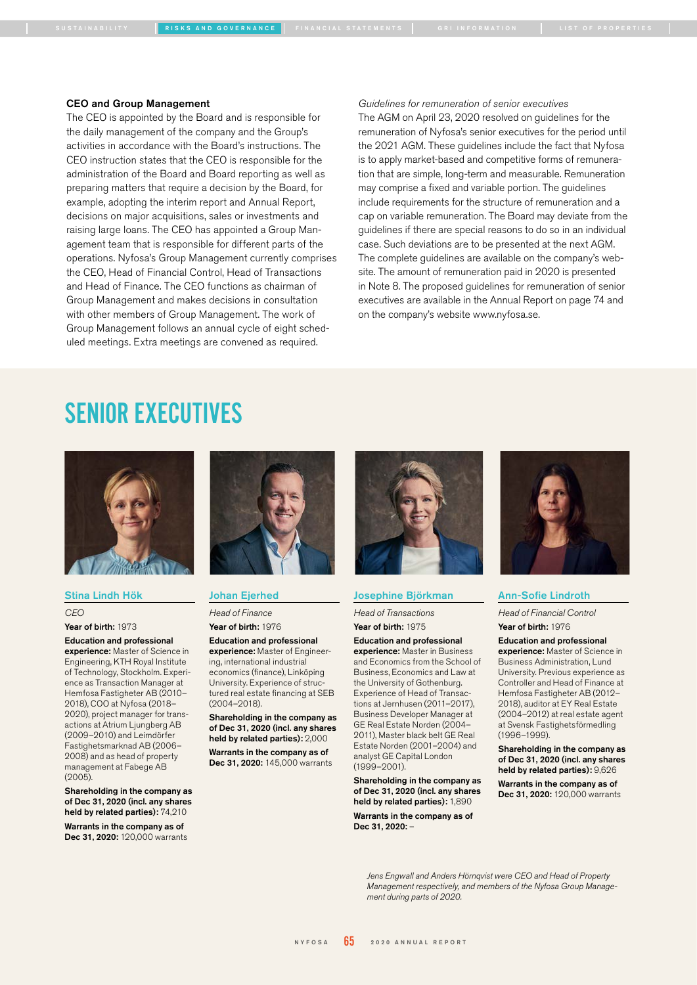[SUSTAINABILITY](#page-0-0) [RISKS AND GOVERNANCE](#page-0-0) [FINANCIAL STATEMENTS](#page-0-0) [GRI INFORMATION](#page-0-0) [LIST OF PROPERTIES](#page-0-0)

#### CEO and Group Management

The CEO is appointed by the Board and is responsible for the daily management of the company and the Group's activities in accordance with the Board's instructions. The CEO instruction states that the CEO is responsible for the administration of the Board and Board reporting as well as preparing matters that require a decision by the Board, for example, adopting the interim report and Annual Report, decisions on major acquisitions, sales or investments and raising large loans. The CEO has appointed a Group Management team that is responsible for different parts of the operations. Nyfosa's Group Management currently comprises the CEO, Head of Financial Control, Head of Transactions and Head of Finance. The CEO functions as chairman of Group Management and makes decisions in consultation with other members of Group Management. The work of Group Management follows an annual cycle of eight scheduled meetings. Extra meetings are convened as required.

*Guidelines for remuneration of senior executives*  The AGM on April 23, 2020 resolved on guidelines for the remuneration of Nyfosa's senior executives for the period until the 2021 AGM. These guidelines include the fact that Nyfosa is to apply market-based and competitive forms of remuneration that are simple, long-term and measurable. Remuneration may comprise a fixed and variable portion. The guidelines include requirements for the structure of remuneration and a cap on variable remuneration. The Board may deviate from the guidelines if there are special reasons to do so in an individual case. Such deviations are to be presented at the next AGM. The complete guidelines are available on the company's website. The amount of remuneration paid in 2020 is presented in Note 8. The proposed guidelines for remuneration of senior executives are available in the Annual Report on page 74 and on the company's website www.nyfosa.se.

# SENIOR EXECUTIVES



## Stina Lindh Hök

*CEO*

Year of birth: 1973

## Education and professional

experience: Master of Science in Engineering, KTH Royal Institute of Technology, Stockholm. Experience as Transaction Manager at Hemfosa Fastigheter AB (2010– 2018), COO at Nyfosa (2018– 2020), project manager for transactions at Atrium Ljungberg AB (2009–2010) and Leimdörfer Fastighetsmarknad AB (2006– 2008) and as head of property management at Fabege AB (2005).

Shareholding in the company as of Dec 31, 2020 (incl. any shares held by related parties): 74,210

Warrants in the company as of Dec 31, 2020: 120,000 warrants



# Johan Ejerhed

*Head of Finance* Year of birth: 1976

#### Education and professional experience: Master of Engineering, international industrial

economics (finance), Linköping University. Experience of structured real estate financing at SEB (2004–2018).

Shareholding in the company as of Dec 31, 2020 (incl. any shares held by related parties): 2,000

Warrants in the company as of Dec 31, 2020: 145,000 warrants



#### Josephine Björkman

*Head of Transactions* Year of birth: 1975

# Education and professional

experience: Master in Business and Economics from the School of Business, Economics and Law at the University of Gothenburg. Experience of Head of Transactions at Jernhusen (2011–2017), Business Developer Manager at GE Real Estate Norden (2004– 2011), Master black belt GE Real Estate Norden (2001–2004) and analyst GE Capital London (1999–2001).

Shareholding in the company as of Dec 31, 2020 (incl. any shares held by related parties): 1,890

Warrants in the company as of Dec 31, 2020: –



#### Ann-Sofie Lindroth

*Head of Financial Control* Year of birth: 1976

Education and professional experience: Master of Science in

Business Administration, Lund University. Previous experience as Controller and Head of Finance at Hemfosa Fastigheter AB (2012– 2018), auditor at EY Real Estate (2004–2012) at real estate agent at Svensk Fastighetsförmedling (1996–1999).

Shareholding in the company as of Dec 31, 2020 (incl. any shares held by related parties): 9,626

Warrants in the company as of Dec 31, 2020: 120,000 warrants

*Jens Engwall and Anders Hörnqvist were CEO and Head of Property Management respectively, and members of the Nyfosa Group Management during parts of 2020.*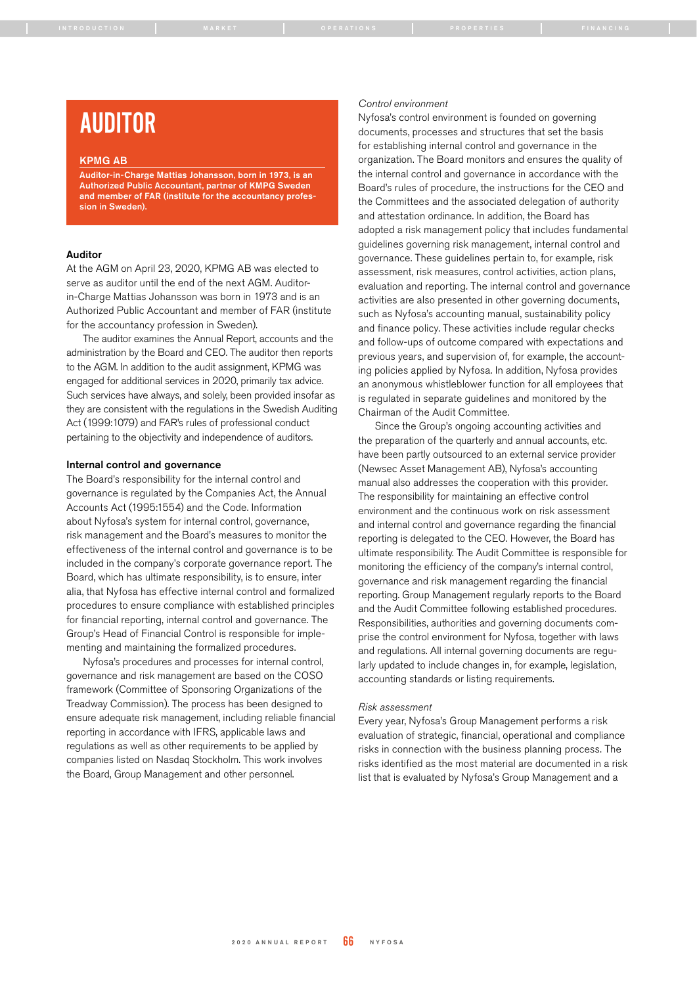# AUDITOR

#### KPMG AB

Auditor-in-Charge Mattias Johansson, born in 1973, is an Authorized Public Accountant, partner of KMPG Sweden and member of FAR (institute for the accountancy profession in Sweden).

# Auditor

At the AGM on April 23, 2020, KPMG AB was elected to serve as auditor until the end of the next AGM. Auditorin-Charge Mattias Johansson was born in 1973 and is an Authorized Public Accountant and member of FAR (institute for the accountancy profession in Sweden).

The auditor examines the Annual Report, accounts and the administration by the Board and CEO. The auditor then reports to the AGM. In addition to the audit assignment, KPMG was engaged for additional services in 2020, primarily tax advice. Such services have always, and solely, been provided insofar as they are consistent with the regulations in the Swedish Auditing Act (1999:1079) and FAR's rules of professional conduct pertaining to the objectivity and independence of auditors.

#### Internal control and governance

The Board's responsibility for the internal control and governance is regulated by the Companies Act, the Annual Accounts Act (1995:1554) and the Code. Information about Nyfosa's system for internal control, governance, risk management and the Board's measures to monitor the effectiveness of the internal control and governance is to be included in the company's corporate governance report. The Board, which has ultimate responsibility, is to ensure, inter alia, that Nyfosa has effective internal control and formalized procedures to ensure compliance with established principles for financial reporting, internal control and governance. The Group's Head of Financial Control is responsible for implementing and maintaining the formalized procedures.

Nyfosa's procedures and processes for internal control, governance and risk management are based on the COSO framework (Committee of Sponsoring Organizations of the Treadway Commission). The process has been designed to ensure adequate risk management, including reliable financial reporting in accordance with IFRS, applicable laws and regulations as well as other requirements to be applied by companies listed on Nasdaq Stockholm. This work involves the Board, Group Management and other personnel.

#### *Control environment*

Nyfosa's control environment is founded on governing documents, processes and structures that set the basis for establishing internal control and governance in the organization. The Board monitors and ensures the quality of the internal control and governance in accordance with the Board's rules of procedure, the instructions for the CEO and the Committees and the associated delegation of authority and attestation ordinance. In addition, the Board has adopted a risk management policy that includes fundamental guidelines governing risk management, internal control and governance. These guidelines pertain to, for example, risk assessment, risk measures, control activities, action plans, evaluation and reporting. The internal control and governance activities are also presented in other governing documents, such as Nyfosa's accounting manual, sustainability policy and finance policy. These activities include regular checks and follow-ups of outcome compared with expectations and previous years, and supervision of, for example, the accounting policies applied by Nyfosa. In addition, Nyfosa provides an anonymous whistleblower function for all employees that is regulated in separate guidelines and monitored by the Chairman of the Audit Committee.

Since the Group's ongoing accounting activities and the preparation of the quarterly and annual accounts, etc. have been partly outsourced to an external service provider (Newsec Asset Management AB), Nyfosa's accounting manual also addresses the cooperation with this provider. The responsibility for maintaining an effective control environment and the continuous work on risk assessment and internal control and governance regarding the financial reporting is delegated to the CEO. However, the Board has ultimate responsibility. The Audit Committee is responsible for monitoring the efficiency of the company's internal control, governance and risk management regarding the financial reporting. Group Management regularly reports to the Board and the Audit Committee following established procedures. Responsibilities, authorities and governing documents comprise the control environment for Nyfosa, together with laws and regulations. All internal governing documents are regularly updated to include changes in, for example, legislation, accounting standards or listing requirements.

#### *Risk assessment*

Every year, Nyfosa's Group Management performs a risk evaluation of strategic, financial, operational and compliance risks in connection with the business planning process. The risks identified as the most material are documented in a risk list that is evaluated by Nyfosa's Group Management and a